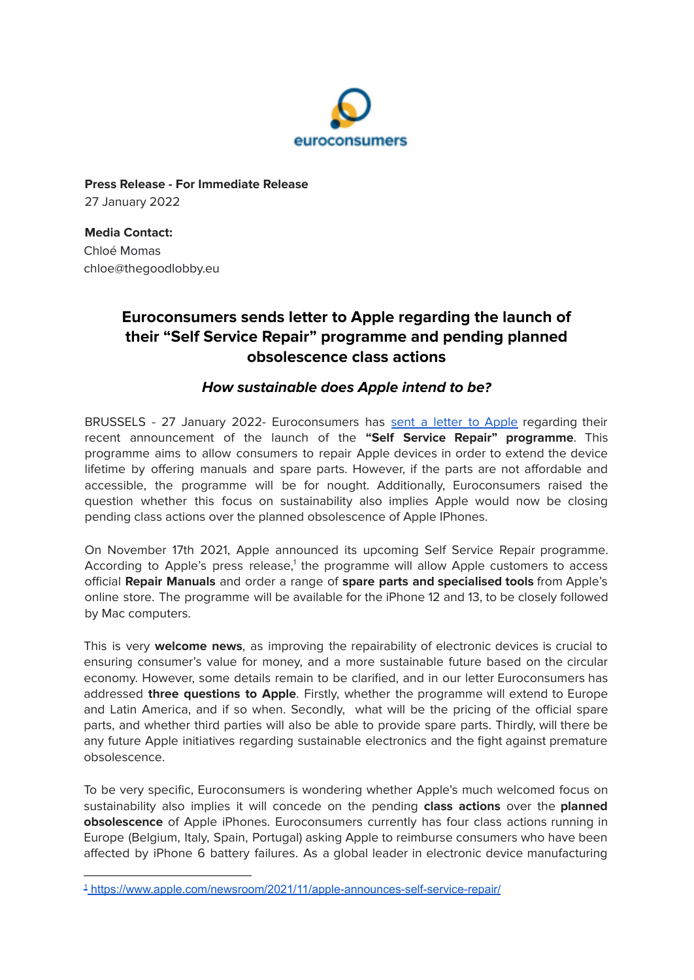

**Press Release - For Immediate Release** 27 January 2022

**Media Contact:** Chloé Momas chloe@thegoodlobby.eu

## **Euroconsumers sends letter to Apple regarding the launch of their "Self Service Repair" programme and pending planned obsolescence class actions**

## **How sustainable does Apple intend to be?**

BRUSSELS - 27 January 2022- Euroconsumers has sent a letter to [Apple](https://assets.ctfassets.net/iapmw8ie3ije/bryQJmE5pXHeU6LufUux6/384301d5ecdc5708429825c771220873/EC_-_Apple_Right_to_Repair.pdf) regarding their recent announcement of the launch of the **"Self Service Repair" programme**. This programme aims to allow consumers to repair Apple devices in order to extend the device lifetime by offering manuals and spare parts. However, if the parts are not affordable and accessible, the programme will be for nought. Additionally, Euroconsumers raised the question whether this focus on sustainability also implies Apple would now be closing pending class actions over the planned obsolescence of Apple IPhones.

On November 17th 2021, Apple announced its upcoming Self Service Repair programme. According to Apple's press release,<sup>1</sup> the programme will allow Apple customers to access official **Repair Manuals** and order a range of **spare parts and specialised tools** from Apple's online store. The programme will be available for the iPhone 12 and 13, to be closely followed by Mac computers.

This is very **welcome news**, as improving the repairability of electronic devices is crucial to ensuring consumer's value for money, and a more sustainable future based on the circular economy. However, some details remain to be clarified, and in our letter Euroconsumers has addressed **three questions to Apple**. Firstly, whether the programme will extend to Europe and Latin America, and if so when. Secondly, what will be the pricing of the official spare parts, and whether third parties will also be able to provide spare parts. Thirdly, will there be any future Apple initiatives regarding sustainable electronics and the fight against premature obsolescence.

To be very specific, Euroconsumers is wondering whether Apple's much welcomed focus on sustainability also implies it will concede on the pending **class actions** over the **planned obsolescence** of Apple iPhones. Euroconsumers currently has four class actions running in Europe (Belgium, Italy, Spain, Portugal) asking Apple to reimburse consumers who have been affected by iPhone 6 battery failures. As a global leader in electronic device manufacturing

<sup>1</sup> <https://www.apple.com/newsroom/2021/11/apple-announces-self-service-repair/>